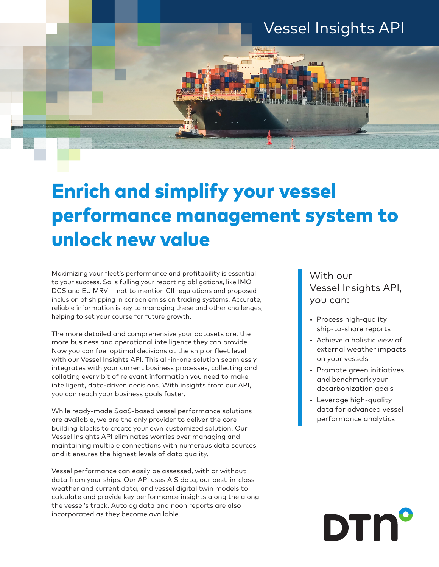

# Enrich and simplify your vessel performance management system to unlock new value

Maximizing your fleet's performance and profitability is essential to your success. So is fulling your reporting obligations, like IMO DCS and EU MRV — not to mention CII regulations and proposed inclusion of shipping in carbon emission trading systems. Accurate, reliable information is key to managing these and other challenges, helping to set your course for future growth.

The more detailed and comprehensive your datasets are, the more business and operational intelligence they can provide. Now you can fuel optimal decisions at the ship or fleet level with our Vessel Insights API. This all-in-one solution seamlessly integrates with your current business processes, collecting and collating every bit of relevant information you need to make intelligent, data-driven decisions. With insights from our API, you can reach your business goals faster.

While ready-made SaaS-based vessel performance solutions are available, we are the only provider to deliver the core building blocks to create your own customized solution. Our Vessel Insights API eliminates worries over managing and maintaining multiple connections with numerous data sources, and it ensures the highest levels of data quality.

Vessel performance can easily be assessed, with or without data from your ships. Our API uses AIS data, our best-in-class weather and current data, and vessel digital twin models to calculate and provide key performance insights along the along the vessel's track. Autolog data and noon reports are also incorporated as they become available.

# With our Vessel Insights API, you can:

- Process high-quality ship-to-shore reports
- Achieve a holistic view of external weather impacts on your vessels
- Promote green initiatives and benchmark your decarbonization goals
- Leverage high-quality data for advanced vessel performance analytics

# **DTN'**